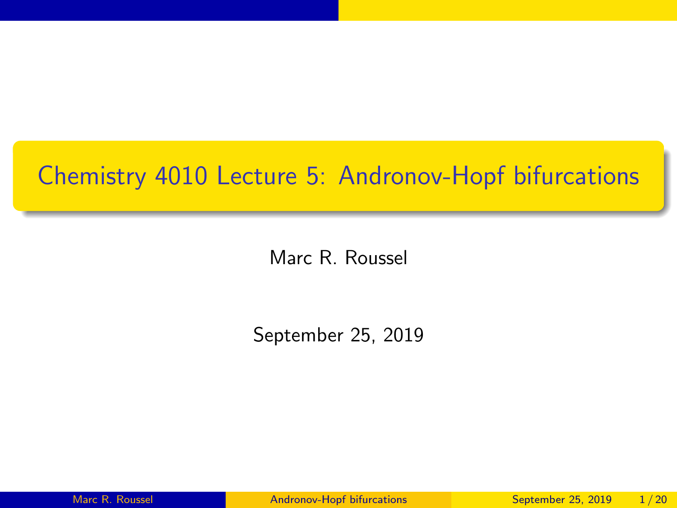## <span id="page-0-0"></span>Chemistry 4010 Lecture 5: Andronov-Hopf bifurcations

Marc R. Roussel

September 25, 2019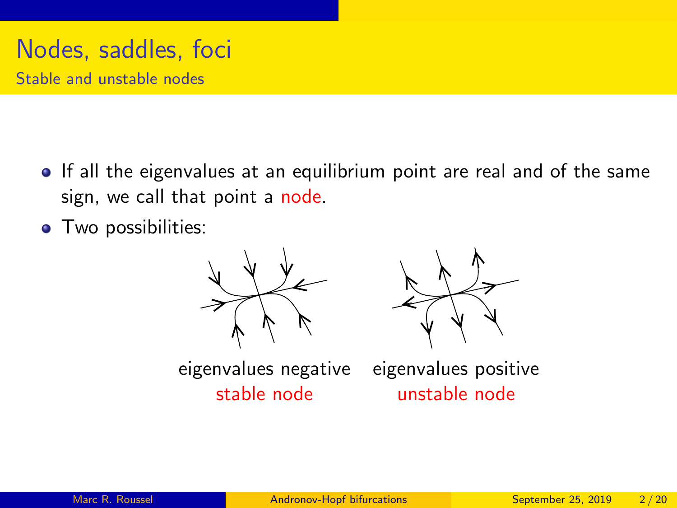# Nodes, saddles, foci

Stable and unstable nodes

- If all the eigenvalues at an equilibrium point are real and of the same sign, we call that point a node.
- Two possibilities:





eigenvalues negative eigenvalues positive

stable node unstable node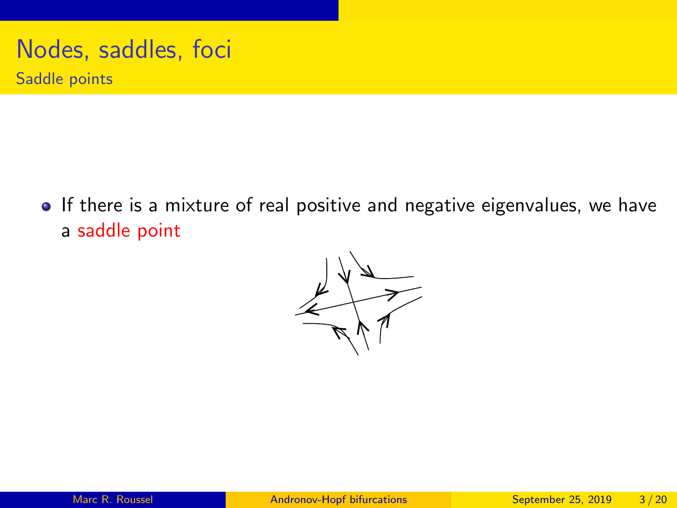# Nodes, saddles, foci

Saddle points

• If there is a mixture of real positive and negative eigenvalues, we have a saddle point

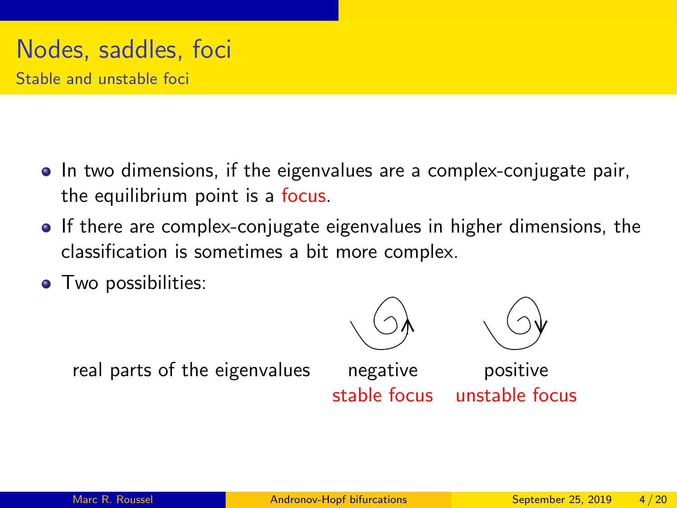#### Nodes, saddles, foci Stable and unstable foci

- In two dimensions, if the eigenvalues are a complex-conjugate pair, the equilibrium point is a focus.
- **If there are complex-conjugate eigenvalues in higher dimensions, the** classification is sometimes a bit more complex.
- **•** Two possibilities:





real parts of the eigenvalues negative positive

stable focus unstable focus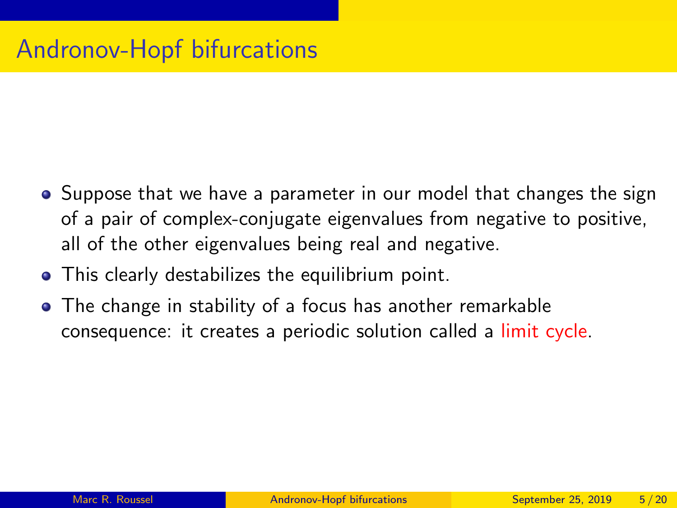- Suppose that we have a parameter in our model that changes the sign of a pair of complex-conjugate eigenvalues from negative to positive, all of the other eigenvalues being real and negative.
- This clearly destabilizes the equilibrium point.
- The change in stability of a focus has another remarkable consequence: it creates a periodic solution called a limit cycle.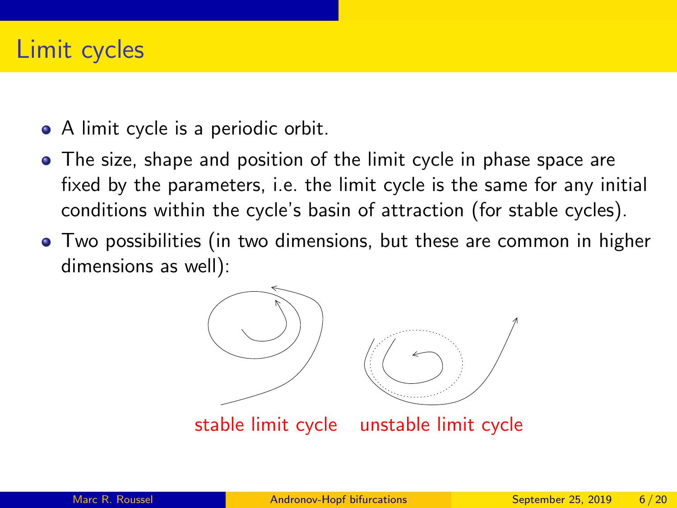#### Limit cycles

- A limit cycle is a periodic orbit.
- The size, shape and position of the limit cycle in phase space are fixed by the parameters, i.e. the limit cycle is the same for any initial conditions within the cycle's basin of attraction (for stable cycles).
- Two possibilities (in two dimensions, but these are common in higher dimensions as well):

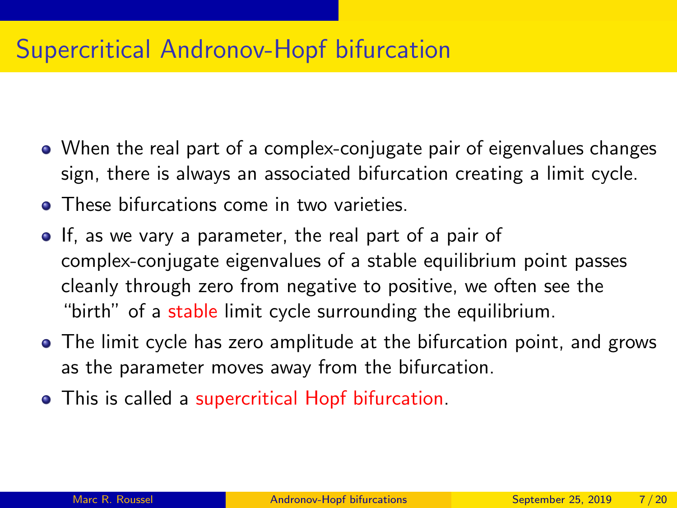## Supercritical Andronov-Hopf bifurcation

- When the real part of a complex-conjugate pair of eigenvalues changes sign, there is always an associated bifurcation creating a limit cycle.
- **•** These bifurcations come in two varieties.
- If, as we vary a parameter, the real part of a pair of complex-conjugate eigenvalues of a stable equilibrium point passes cleanly through zero from negative to positive, we often see the "birth" of a stable limit cycle surrounding the equilibrium.
- The limit cycle has zero amplitude at the bifurcation point, and grows as the parameter moves away from the bifurcation.
- This is called a supercritical Hopf bifurcation.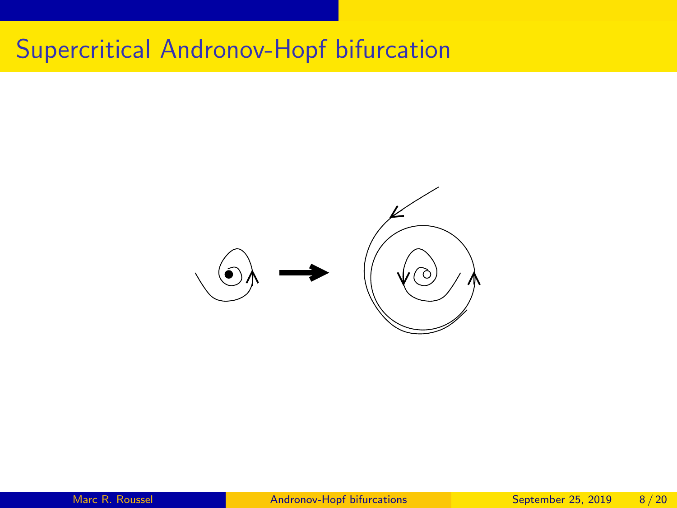# Supercritical Andronov-Hopf bifurcation

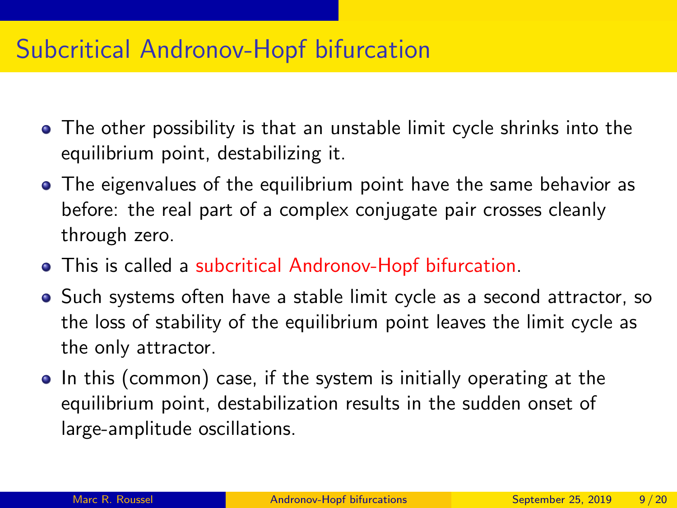#### Subcritical Andronov-Hopf bifurcation

- The other possibility is that an unstable limit cycle shrinks into the equilibrium point, destabilizing it.
- The eigenvalues of the equilibrium point have the same behavior as before: the real part of a complex conjugate pair crosses cleanly through zero.
- This is called a subcritical Andronov-Hopf bifurcation.
- Such systems often have a stable limit cycle as a second attractor, so the loss of stability of the equilibrium point leaves the limit cycle as the only attractor.
- In this (common) case, if the system is initially operating at the equilibrium point, destabilization results in the sudden onset of large-amplitude oscillations.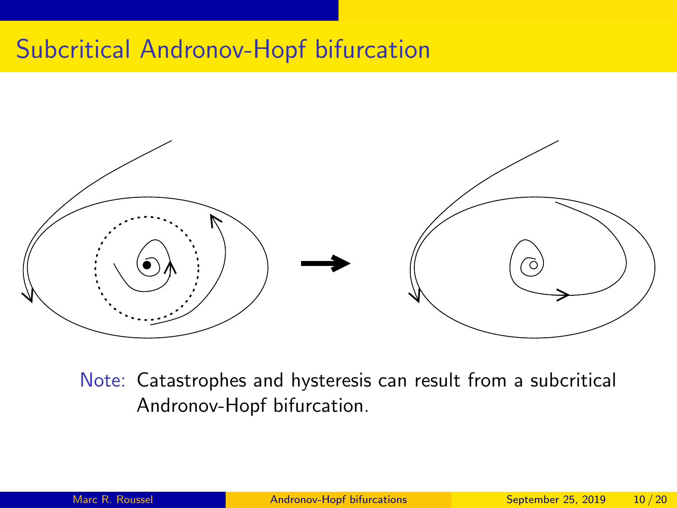## Subcritical Andronov-Hopf bifurcation



Note: Catastrophes and hysteresis can result from a subcritical Andronov-Hopf bifurcation.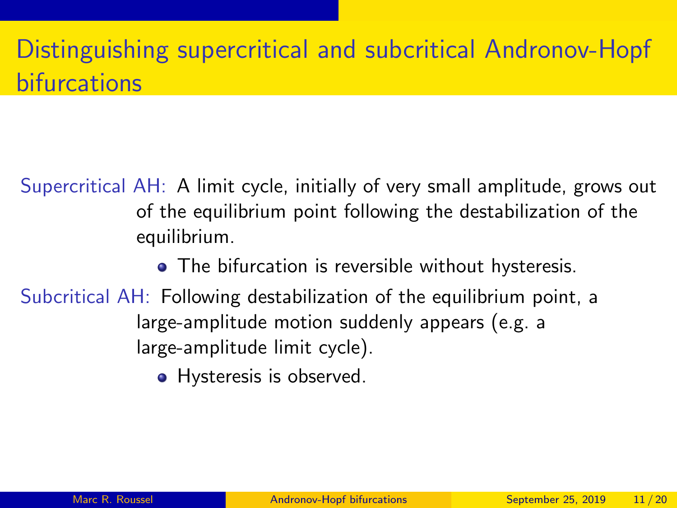# Distinguishing supercritical and subcritical Andronov-Hopf **bifurcations**

Supercritical AH: A limit cycle, initially of very small amplitude, grows out of the equilibrium point following the destabilization of the equilibrium.

- The bifurcation is reversible without hysteresis.
- Subcritical AH: Following destabilization of the equilibrium point, a large-amplitude motion suddenly appears (e.g. a large-amplitude limit cycle).
	- Hysteresis is observed.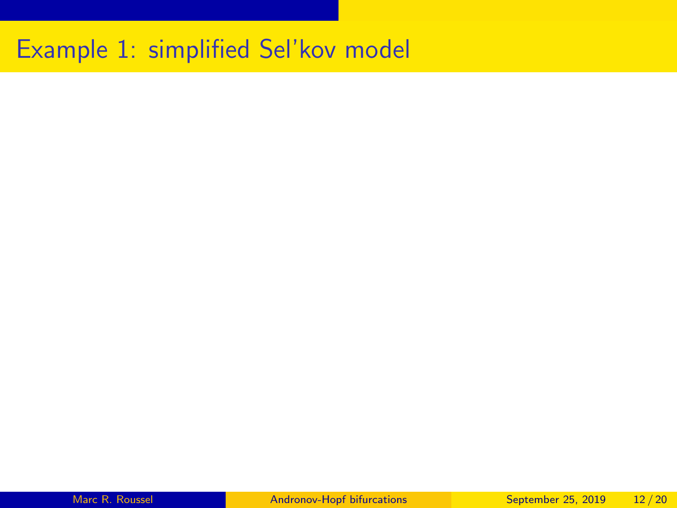# Example 1: simplified Sel'kov model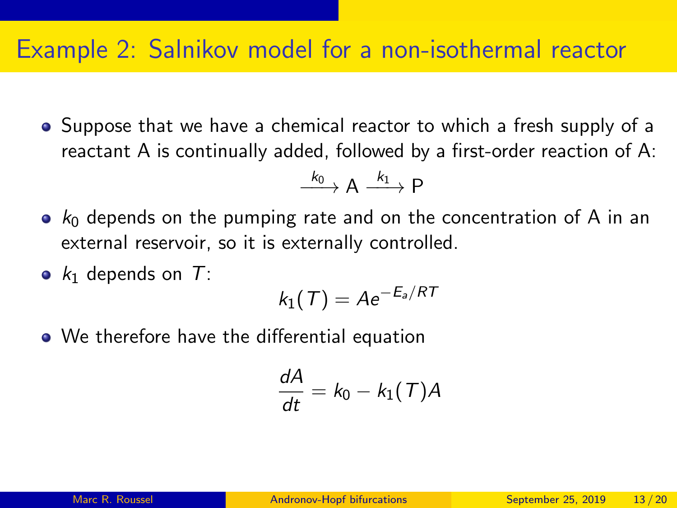#### Example 2: Salnikov model for a non-isothermal reactor

• Suppose that we have a chemical reactor to which a fresh supply of a reactant A is continually added, followed by a first-order reaction of A:

$$
\xrightarrow{\ k_0 \ } A \xrightarrow{\ k_1 \ } P
$$

- $k_0$  depends on the pumping rate and on the concentration of A in an external reservoir, so it is externally controlled.
- $k_1$  depends on T:

$$
k_1(T) = A e^{-E_a/RT}
$$

• We therefore have the differential equation

$$
\frac{dA}{dt} = k_0 - k_1(T)A
$$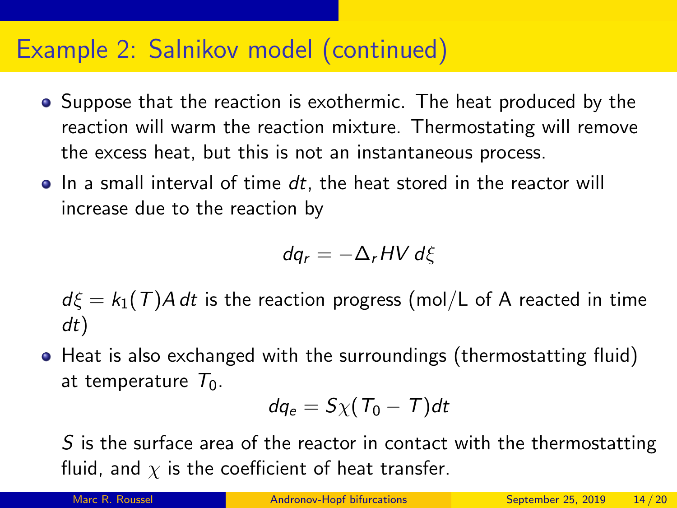- Suppose that the reaction is exothermic. The heat produced by the reaction will warm the reaction mixture. Thermostating will remove the excess heat, but this is not an instantaneous process.
- $\bullet$  In a small interval of time dt, the heat stored in the reactor will increase due to the reaction by

$$
dq_r = -\Delta_r H V d\xi
$$

 $d\xi = k_1(T)A dt$  is the reaction progress (mol/L of A reacted in time dt)

• Heat is also exchanged with the surroundings (thermostatting fluid) at temperature  $T_0$ .

$$
dq_e = S\chi (T_0 - T)dt
$$

S is the surface area of the reactor in contact with the thermostatting fluid, and  $\chi$  is the coefficient of heat transfer.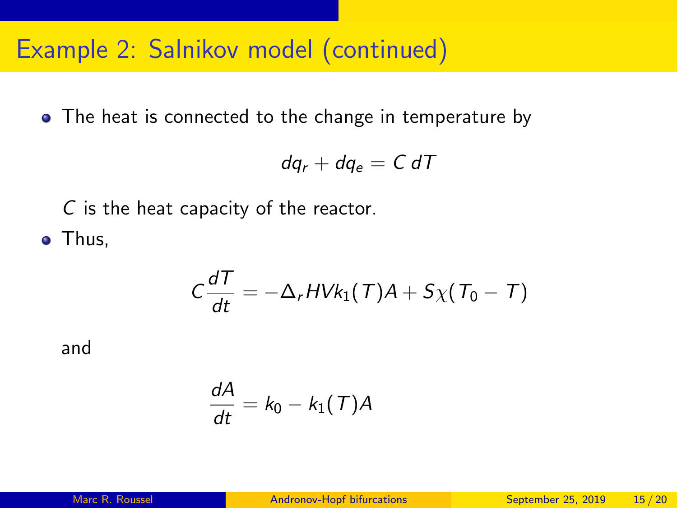• The heat is connected to the change in temperature by

$$
dq_r + dq_e = C dT
$$

C is the heat capacity of the reactor.

• Thus,

$$
C\frac{dT}{dt}=-\Delta_r H V k_1(T)A+S\chi(T_0-T)
$$

and

$$
\frac{dA}{dt} = k_0 - k_1(T)A
$$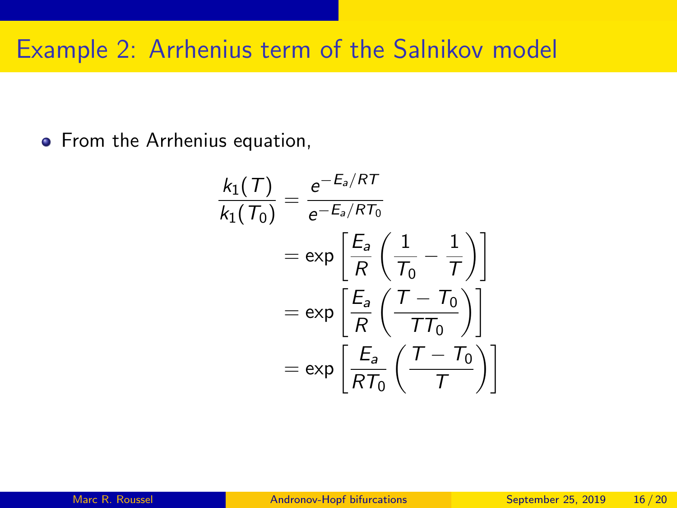# Example 2: Arrhenius term of the Salnikov model

**•** From the Arrhenius equation,

$$
\frac{k_1(T)}{k_1(T_0)} = \frac{e^{-E_a/RT}}{e^{-E_a/RT_0}}
$$
\n
$$
= \exp\left[\frac{E_a}{R}\left(\frac{1}{T_0} - \frac{1}{T}\right)\right]
$$
\n
$$
= \exp\left[\frac{E_a}{R}\left(\frac{T - T_0}{TT_0}\right)\right]
$$
\n
$$
= \exp\left[\frac{E_a}{RT_0}\left(\frac{T - T_0}{T}\right)\right]
$$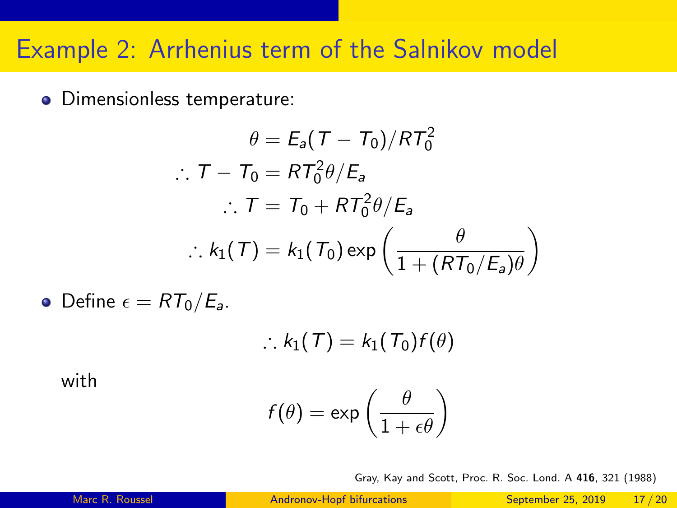#### Example 2: Arrhenius term of the Salnikov model

Dimensionless temperature:

$$
\theta = E_a (T - T_0) / RT_0^2
$$
  
\n
$$
\therefore T - T_0 = RT_0^2 \theta / E_a
$$
  
\n
$$
\therefore T = T_0 + RT_0^2 \theta / E_a
$$
  
\n
$$
\therefore k_1(T) = k_1(T_0) \exp\left(\frac{\theta}{1 + (RT_0/E_a)\theta}\right)
$$

• Define  $\epsilon = RT_0/E_a$ .

$$
\therefore k_1(T) = k_1(T_0) f(\theta)
$$

with

$$
f(\theta) = \exp\left(\frac{\theta}{1+\epsilon\theta}\right)
$$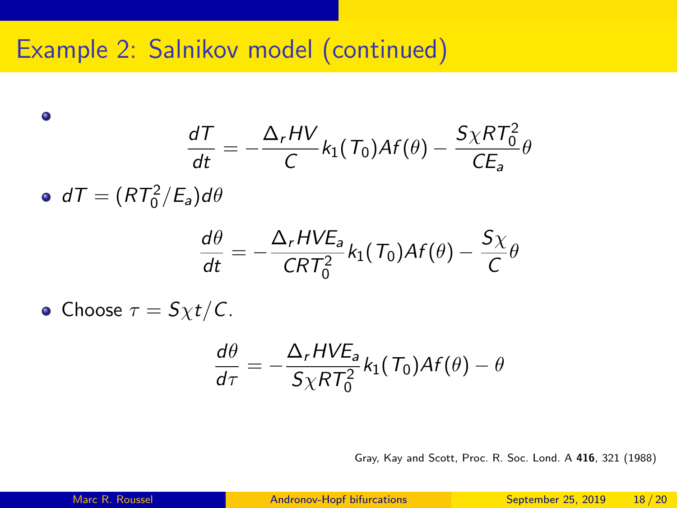$$
\frac{dT}{dt} = -\frac{\Delta_r HV}{C}k_1(T_0)Af(\theta) - \frac{S\chi RT_0^2}{CE_a}\theta
$$

 $dT = (RT_0^2/E_a)d\theta$ 

 $\bullet$ 

$$
\frac{d\theta}{dt}=-\frac{\Delta_r HVE_a}{CRT_0^2}k_1(T_0)Af(\theta)-\frac{S\chi}{C}\theta
$$

• Choose  $\tau = S_{\chi}t/C$ .

$$
\frac{d\theta}{d\tau} = -\frac{\Delta_r HVE_a}{S \chi RT_0^2} k_1(T_0)Af(\theta) - \theta
$$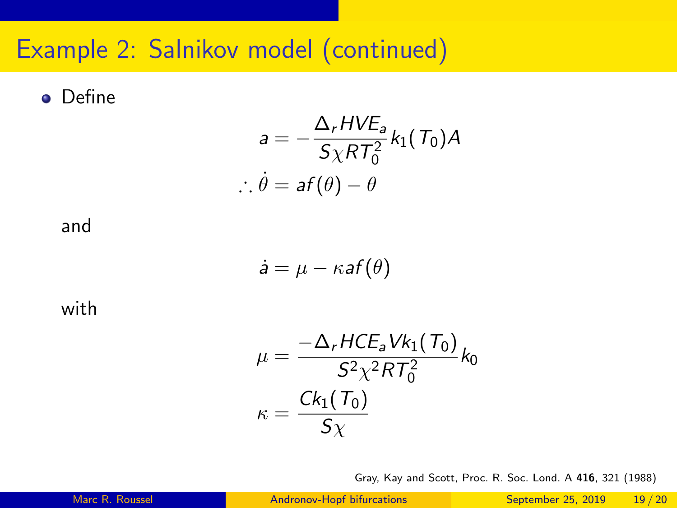**o** Define

$$
a = -\frac{\Delta_r HVE_a}{S \chi RT_0^2} k_1(T_0) A
$$
  

$$
\therefore \dot{\theta} = af(\theta) - \theta
$$

and

$$
\dot{\mathsf{a}} = \mu - \kappa \mathsf{a} f(\theta)
$$

with

$$
\mu = \frac{-\Delta_r HCE_a Vk_1(T_0)}{S^2 \chi^2 RT_0^2} k_0
$$

$$
\kappa = \frac{Ck_1(T_0)}{S \chi}
$$